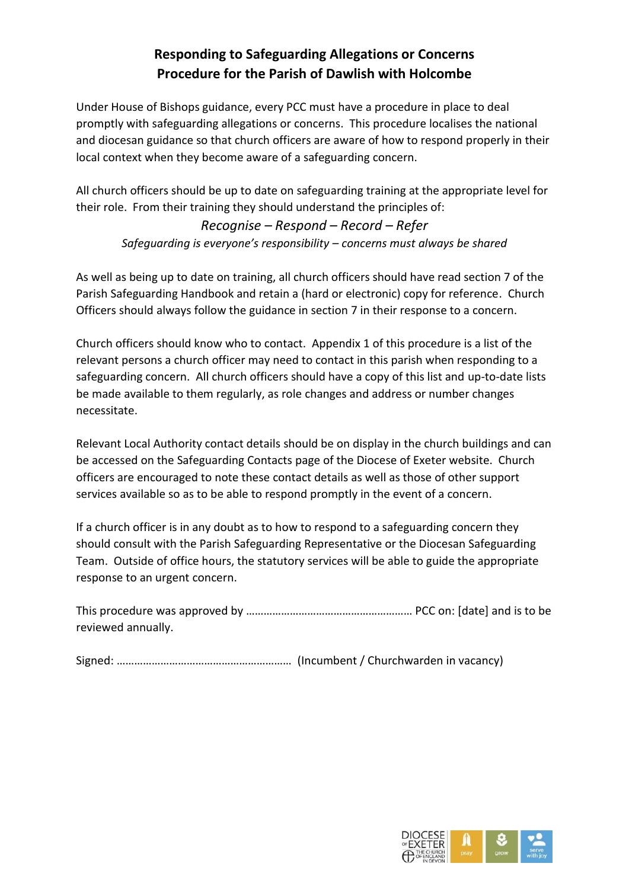## **Responding to Safeguarding Allegations or Concerns Procedure for the Parish of Dawlish with Holcombe**

Under House of Bishops guidance, every PCC must have a procedure in place to deal promptly with safeguarding allegations or concerns. This procedure localises the national and diocesan guidance so that church officers are aware of how to respond properly in their local context when they become aware of a safeguarding concern.

All church officers should be up to date on safeguarding training at the appropriate level for their role. From their training they should understand the principles of:

*Recognise – Respond – Record – Refer Safeguarding is everyone's responsibility – concerns must always be shared*

As well as being up to date on training, all church officers should have read section 7 of the Parish Safeguarding Handbook and retain a (hard or electronic) copy for reference. Church Officers should always follow the guidance in section 7 in their response to a concern.

Church officers should know who to contact. Appendix 1 of this procedure is a list of the relevant persons a church officer may need to contact in this parish when responding to a safeguarding concern. All church officers should have a copy of this list and up-to-date lists be made available to them regularly, as role changes and address or number changes necessitate.

Relevant Local Authority contact details should be on display in the church buildings and can be accessed on the Safeguarding Contacts page of the Diocese of Exeter website. Church officers are encouraged to note these contact details as well as those of other support services available so as to be able to respond promptly in the event of a concern.

If a church officer is in any doubt as to how to respond to a safeguarding concern they should consult with the Parish Safeguarding Representative or the Diocesan Safeguarding Team. Outside of office hours, the statutory services will be able to guide the appropriate response to an urgent concern.

| reviewed annually. |  |  |
|--------------------|--|--|

Signed: …………………………………………………… (Incumbent / Churchwarden in vacancy)